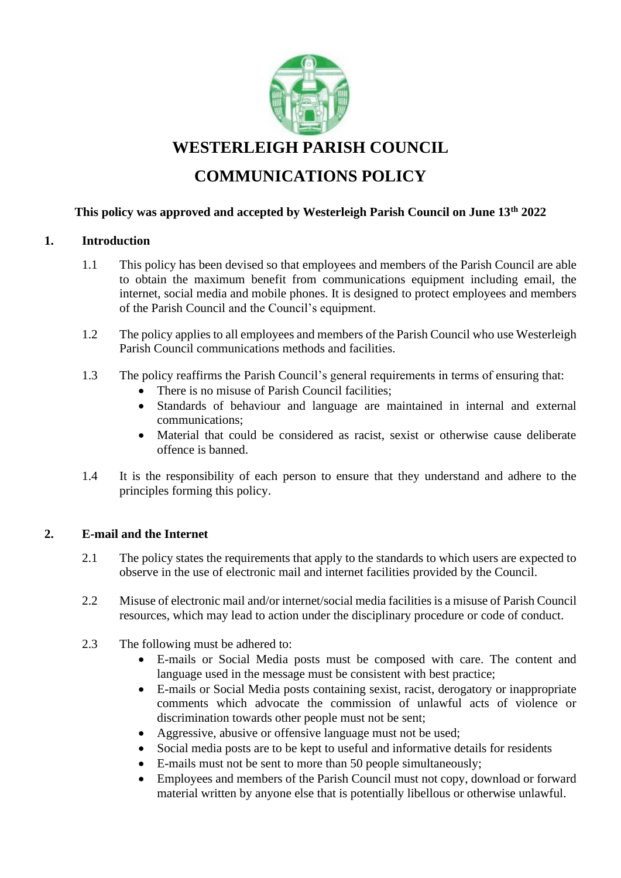

**WESTERLEIGH PARISH COUNCIL**

# **COMMUNICATIONS POLICY**

# **This policy was approved and accepted by Westerleigh Parish Council on June 13th 2022**

## **1. Introduction**

- 1.1 This policy has been devised so that employees and members of the Parish Council are able to obtain the maximum benefit from communications equipment including email, the internet, social media and mobile phones. It is designed to protect employees and members of the Parish Council and the Council's equipment.
- 1.2 The policy applies to all employees and members of the Parish Council who use Westerleigh Parish Council communications methods and facilities.
- 1.3 The policy reaffirms the Parish Council's general requirements in terms of ensuring that:
	- There is no misuse of Parish Council facilities;
	- Standards of behaviour and language are maintained in internal and external communications;
	- Material that could be considered as racist, sexist or otherwise cause deliberate offence is banned.
- 1.4 It is the responsibility of each person to ensure that they understand and adhere to the principles forming this policy.

## **2. E-mail and the Internet**

- 2.1 The policy states the requirements that apply to the standards to which users are expected to observe in the use of electronic mail and internet facilities provided by the Council.
- 2.2 Misuse of electronic mail and/or internet/social media facilities is a misuse of Parish Council resources, which may lead to action under the disciplinary procedure or code of conduct.
- 2.3 The following must be adhered to:
	- E-mails or Social Media posts must be composed with care. The content and language used in the message must be consistent with best practice;
	- E-mails or Social Media posts containing sexist, racist, derogatory or inappropriate comments which advocate the commission of unlawful acts of violence or discrimination towards other people must not be sent;
	- Aggressive, abusive or offensive language must not be used;
	- Social media posts are to be kept to useful and informative details for residents
	- E-mails must not be sent to more than 50 people simultaneously;
	- Employees and members of the Parish Council must not copy, download or forward material written by anyone else that is potentially libellous or otherwise unlawful.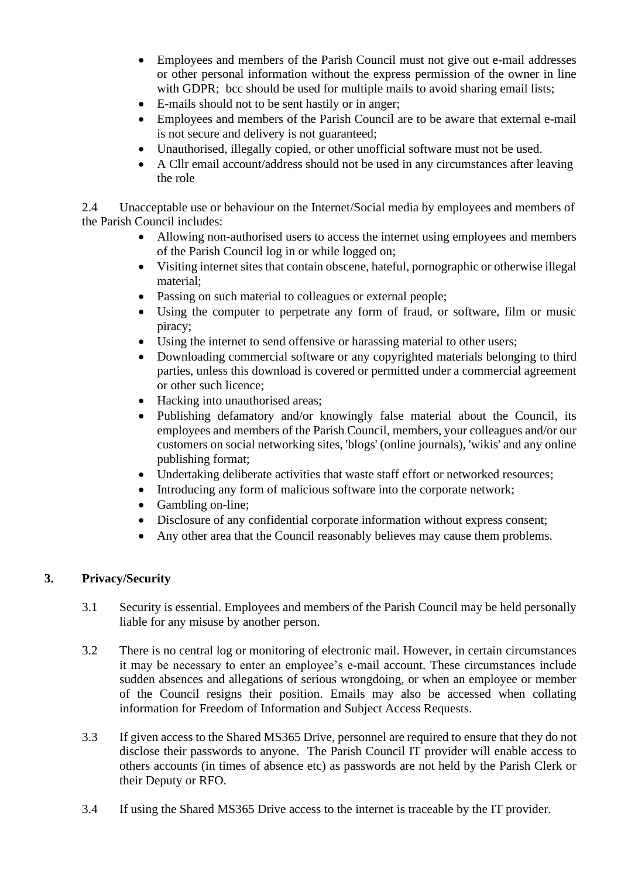- Employees and members of the Parish Council must not give out e-mail addresses or other personal information without the express permission of the owner in line with GDPR; bcc should be used for multiple mails to avoid sharing email lists;
- E-mails should not to be sent hastily or in anger;
- Employees and members of the Parish Council are to be aware that external e-mail is not secure and delivery is not guaranteed;
- Unauthorised, illegally copied, or other unofficial software must not be used.
- A Cllr email account/address should not be used in any circumstances after leaving the role

2.4 Unacceptable use or behaviour on the Internet/Social media by employees and members of the Parish Council includes:

- Allowing non-authorised users to access the internet using employees and members of the Parish Council log in or while logged on;
- Visiting internet sites that contain obscene, hateful, pornographic or otherwise illegal material;
- Passing on such material to colleagues or external people;
- Using the computer to perpetrate any form of fraud, or software, film or music piracy;
- Using the internet to send offensive or harassing material to other users;
- Downloading commercial software or any copyrighted materials belonging to third parties, unless this download is covered or permitted under a commercial agreement or other such licence;
- Hacking into unauthorised areas;
- Publishing defamatory and/or knowingly false material about the Council, its employees and members of the Parish Council, members, your colleagues and/or our customers on social networking sites, 'blogs' (online journals), 'wikis' and any online publishing format;
- Undertaking deliberate activities that waste staff effort or networked resources;
- Introducing any form of malicious software into the corporate network;
- Gambling on-line;
- Disclosure of any confidential corporate information without express consent;
- Any other area that the Council reasonably believes may cause them problems.

## **3. Privacy/Security**

- 3.1 Security is essential. Employees and members of the Parish Council may be held personally liable for any misuse by another person.
- 3.2 There is no central log or monitoring of electronic mail. However, in certain circumstances it may be necessary to enter an employee's e-mail account. These circumstances include sudden absences and allegations of serious wrongdoing, or when an employee or member of the Council resigns their position. Emails may also be accessed when collating information for Freedom of Information and Subject Access Requests.
- 3.3 If given access to the Shared MS365 Drive, personnel are required to ensure that they do not disclose their passwords to anyone. The Parish Council IT provider will enable access to others accounts (in times of absence etc) as passwords are not held by the Parish Clerk or their Deputy or RFO.
- 3.4 If using the Shared MS365 Drive access to the internet is traceable by the IT provider.